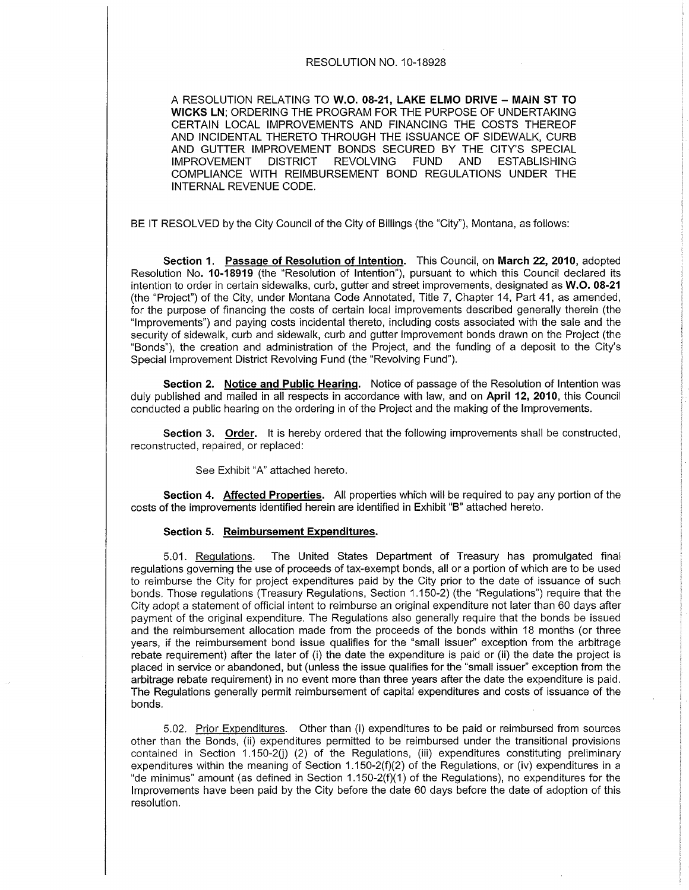## RESOLUTION NO. 10-18928

A RESOLUTION RELATING TO W.O. 08-21, LAKE ELMO DRIVE - MAIN ST TO WICKS LN; ORDERING THE PROGRAM FOR THE PURPOSE OF UNDERTAKING CERTAIN LOCAL IMPROVEMENTS AND FINANCING THE COSTS THEREOF AND INCIDENTAL THERETO THROUGH THE ISSUANCE OF SIDEWALK, CURB AND GUTTER IMPROVEMENT BONDS SECURED BY THE CITY'S SPECIAL<br>IMPROVEMENT DISTRICT REVOLVING FUND AND ESTABLISHING **IMPROVEMENT** COMPLIANCE WITH REIMBURSEMENT BOND REGULATIONS UNDER THE INTERNAL REVENUE CODE.

BE lT RESOLVED by the City Council of the City of Billings (the "City"), Montana, as follows:

Section 1. Passage of Resolution of Intention. This Council, on March 22, 2010, adopted Resolution No. 10-18919 (the "Resolution of Intention"), pursuant to which this Council declared its intention to order in certain sidewalks, curb, gutter and street improvements, designated as W.O. 08-21 (the "Project") of the City, under Montana Code Annotated, Title 7, Chapter 14, Part 41, as amended, for the purpose of financing the costs of certain local improvements described generally therein (the "lmprovements") and paying costs incidental thereto, including costs associated with the sale and the security of sidewalk, curb and sidewalk, curb and gutter improvement bonds drawn on the Project (the "Bonds"), the creation and administration of the Project, and the funding of a deposit to the Ciiy's Special lmprovement District Revolving Fund (the "Revolving Fund").

Section 2. Notice and Public Hearing. Notice of passage of the Resolution of Intention was duly published and mailed in all respects in accordance with law, and on April 12, 2010, this Council conducted a public hearing on the ordering in of the Project and the making of the lmprovements.

Section 3. Order. It is hereby ordered that the following improvements shall be constructed, reconstructed, repaired, or replaced:

See Exhibit "A" attached hereto.

Section 4. Affected Properties. All properties which will be required to pay any portion of the costs of the improvements identified herein are identified in Exhibit "8" attached hereto.

## Section 5. Reimbursement Expenditures.

5.01. Regulations. The United States Department of Treasury has promulgated final regulations governing the use of proceeds of tax-exempt bonds, all or a portion of which are to be used to reimburse the City for project expenditures paid by the City prior to the date of issuance of such bonds. Those regulations (Treasury Regulations, Section 1.150-2) (the "Regulations") require that the City adopt a statement of official intent to reimburse an original expenditure not later than 60 days after payment of the original expenditure. The Regulations also generally require that the bonds be issued and the reimbursement allocation made from the proceeds of the bonds within 18 months (or three years, if the reimbursement bond issue qualifies for the "small issuer" exception from the arbitrage rebate requirement) after the later of (i) the date the expenditure is paid or (ii) the date the project is placed in service or abandoned, but (unless the issue qualifies for the "small issuer" exception from the arbitrage rebate requirement) in no event more than three years after the date the expenditure is paid. The Regulations generally permit reimbursement of capital expenditures and costs of issuance of the bonds.

5.02. Prior Expenditures. Other than (i) expenditures to be paid or reimbursed from sources other than the Bonds, (ii) expenditures permitted to be reimbursed under the transitional provisions contained in Section 1.150-2(j) (2) of the Regulations, (iii) expenditures constituting preliminary expenditures within the meaning of Section 1.150-2(f)(2) of the Regulations, or (iv) expenditures in a "de minimus" amount (as defined in Section 1.150-2(f)(1) of the Regulations), no expenditures for the lmprovements have been paid by the City before the date 60 days before the date of adoption of this resolution.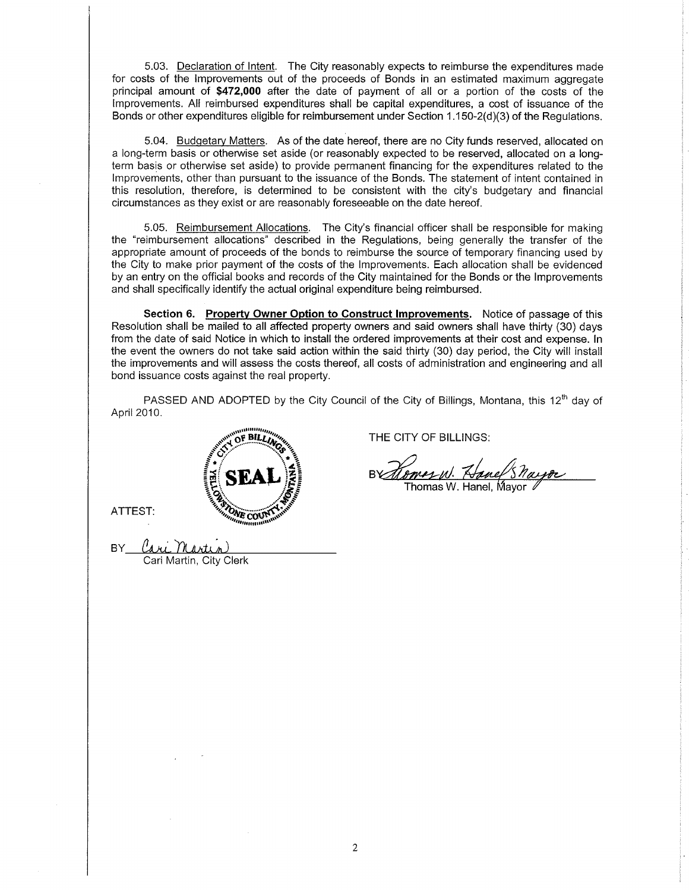5.03. Declaration of Intent. The City reasonably expects to reimburse the expenditures made for costs of the lmprovements out of the proceeds of Bonds in an estimated maximum aggregate principal amount of \$472,000 after the date of payment of all or a poftion of the costs of the lmprovements. All reimbursed expenditures shall be capital expenditures, a cost of issuance of the Bonds or other expenditures eligible for reimbursement under Section  $1.150 - 2(d)(3)$  of the Regulations.

5.04. Budgetary Matters. As of the date hereof, there are no City funds reserved, allocated on a long-term basis or othenruise set aside (or reasonably expected to be reserved, allocated on a longterm basis or otherwise set aside) to provide permanent financing for the expenditures related to the lmprovements, other than pursuant to the issuance of the Bonds. The statement of intent contained in this resolution, therefore, is determined to be consistent with the city's budgetary and financial circumstances as they exist or are reasonably foreseeable on the date hereof.

5.05. Reimbursement Allocations. The City's financial officer shall be responsible for making the "reimbursement allocations" described in the Regulations, being generally the transfer of the appropriate amount of proceeds of the bonds to reimburse the source of temporary financing used by the City to make prior payment of the costs of the lmprovements. Each allocation shall be evidenced by an entry on the official books and records of the City maintained for the Bonds or the lmprovements and shall specifically identify the actual original expenditure being reimbursed.

Section 6. Property Owner Option to Construct Improvements. Notice of passage of this Resolution shall be mailed to all affected property owners and said owners shall have thirty (30) days from the date of said Notice in which to install the ordered improvements at their cost and expense. ln the event the owners do not take said action within the said thirty (30) day period, the City will install the improvements and will assess the costs thereof, all costs of administration and engineering and all bond issuance costs against the real property.

PASSED AND ADOPTED by the City Council of the City of Billings, Montana, this 12<sup>th</sup> day of April 2010.



ATTEST:

THE CITY OF BILLINGS:

Smarw. Hanel Sharpe

 $BY$ Juri Murtun)<br>Cari Martin, City Clerk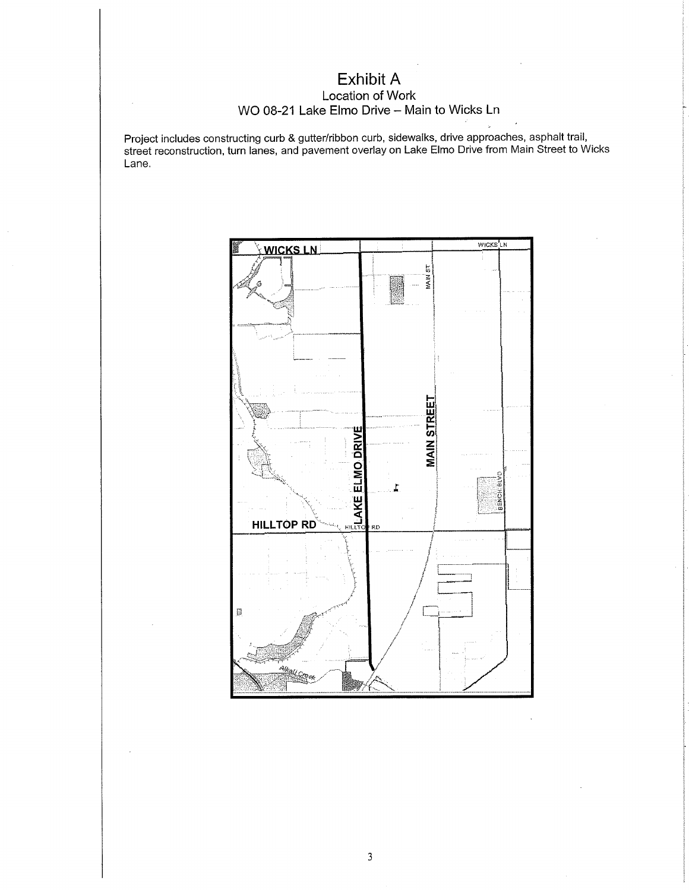## Exhibit A Location of Work WO 08-21 Lake Elmo Drive - Main to Wicks Ln

Project includes constructing curb & gutter/ribbon curb, sidewalks, drive approaches, asphalt trail, street reconstruction, turn lanes, and pavement overlay on Lake Elmo Drive from Main Street to Wicks Lane.

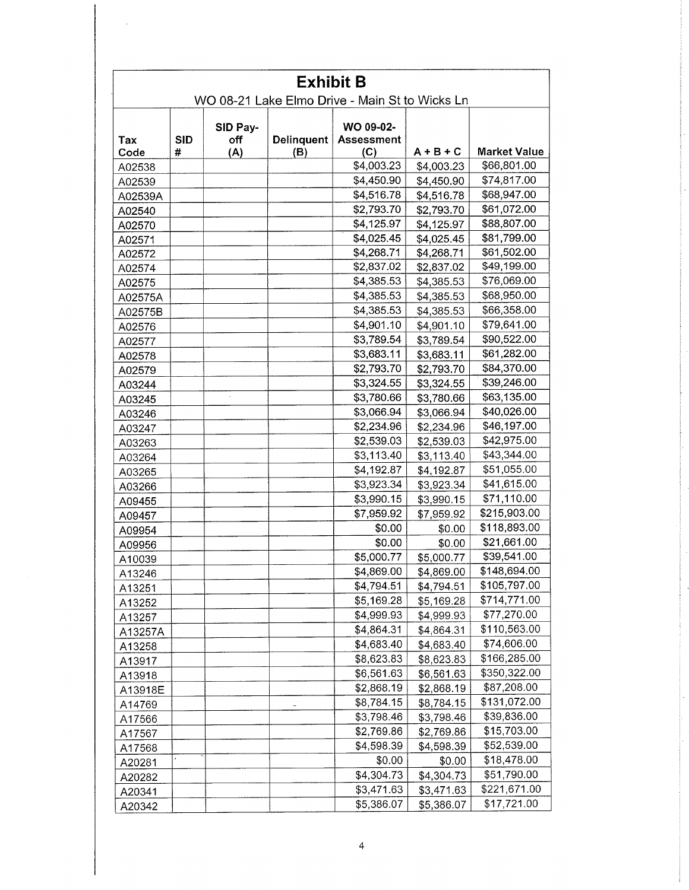| <b>Exhibit B</b><br>WO 08-21 Lake Elmo Drive - Main St to Wicks Ln |            |                 |                   |                                |             |                     |
|--------------------------------------------------------------------|------------|-----------------|-------------------|--------------------------------|-------------|---------------------|
|                                                                    |            |                 |                   |                                |             |                     |
| Tax                                                                | <b>SID</b> | SID Pay-<br>off | <b>Delinquent</b> | WO 09-02-<br><b>Assessment</b> |             |                     |
| Code                                                               | #          | (A)             | (B)               | (C)                            | $A + B + C$ | <b>Market Value</b> |
| A02538                                                             |            |                 |                   | \$4,003.23                     | \$4,003.23  | \$66,801.00         |
| A02539                                                             |            |                 |                   | \$4,450.90                     | \$4,450.90  | \$74,817.00         |
| A02539A                                                            |            |                 |                   | \$4,516.78                     | \$4,516.78  | \$68,947.00         |
| A02540                                                             |            |                 |                   | \$2,793.70                     | \$2,793.70  | \$61,072.00         |
| A02570                                                             |            |                 |                   | \$4,125.97                     | \$4,125.97  | \$88,807.00         |
| A02571                                                             |            |                 |                   | \$4,025.45                     | \$4,025.45  | \$81,799.00         |
| A02572                                                             |            |                 |                   | \$4,268.71                     | \$4,268.71  | \$61,502.00         |
| A02574                                                             |            |                 |                   | \$2,837.02                     | \$2,837.02  | \$49,199.00         |
| A02575                                                             |            |                 |                   | \$4,385.53                     | \$4,385.53  | \$76,069.00         |
| A02575A                                                            |            |                 |                   | \$4,385.53                     | \$4,385.53  | \$68,950.00         |
| A02575B                                                            |            |                 |                   | \$4,385.53                     | \$4,385.53  | \$66,358.00         |
| A02576                                                             |            |                 |                   | \$4,901.10                     | \$4,901.10  | \$79,641.00         |
| A02577                                                             |            |                 |                   | \$3,789.54                     | \$3,789.54  | \$90,522.00         |
| A02578                                                             |            |                 |                   | \$3,683.11                     | \$3,683.11  | \$61,282.00         |
| A02579                                                             |            |                 |                   | \$2,793.70                     | \$2,793.70  | \$84,370.00         |
| A03244                                                             |            |                 |                   | \$3,324.55                     | \$3,324.55  | \$39,246.00         |
| A03245                                                             |            |                 |                   | \$3,780.66                     | \$3,780.66  | \$63,135.00         |
| A03246                                                             |            |                 |                   | \$3,066.94                     | \$3,066.94  | \$40,026.00         |
| A03247                                                             |            |                 |                   | \$2,234.96                     | \$2,234.96  | \$46,197.00         |
| A03263                                                             |            |                 |                   | \$2,539.03                     | \$2,539.03  | \$42,975.00         |
| A03264                                                             |            |                 |                   | \$3,113.40                     | \$3,113.40  | \$43,344.00         |
| A03265                                                             |            |                 |                   | \$4,192.87                     | \$4,192.87  | \$51,055.00         |
| A03266                                                             |            |                 |                   | \$3,923.34                     | \$3,923.34  | \$41,615.00         |
| A09455                                                             |            |                 |                   | \$3,990.15                     | \$3,990.15  | \$71,110.00         |
| A09457                                                             |            |                 |                   | \$7,959.92                     | \$7,959.92  | \$215,903.00        |
| A09954                                                             |            |                 |                   | \$0.00                         | \$0.00      | \$118,893.00        |
| A09956                                                             |            |                 |                   | \$0.00                         | \$0.00      | \$21,661.00         |
| A10039                                                             |            |                 |                   | \$5,000.77                     | \$5,000.77  | \$39,541.00         |
| A13246                                                             |            |                 |                   | \$4,869.00                     | \$4,869.00  | \$148,694.00        |
| A13251                                                             |            |                 |                   | \$4,794.51                     | \$4,794.51  | \$105,797.00        |
| A13252                                                             |            |                 |                   | \$5,169.28                     | \$5,169.28  | \$714,771.00        |
| A13257                                                             |            |                 |                   | \$4,999.93                     | \$4,999.93  | \$77,270.00         |
| A13257A                                                            |            |                 |                   | \$4,864.31                     | \$4,864.31  | \$110,563.00        |
| A13258                                                             |            |                 |                   | \$4,683.40                     | \$4,683.40  | \$74,606.00         |
| A13917                                                             |            |                 |                   | \$8,623.83                     | \$8,623.83  | \$166,285.00        |
| A13918                                                             |            |                 |                   | \$6,561.63                     | \$6,561.63  | \$350,322.00        |
| A13918E                                                            |            |                 |                   | \$2,868.19                     | \$2,868.19  | \$87,208.00         |
| A14769                                                             |            |                 |                   | \$8,784.15                     | \$8,784.15  | \$131,072.00        |
| A17566                                                             |            |                 |                   | \$3,798.46                     | \$3,798.46  | \$39,836.00         |
| A17567                                                             |            |                 |                   | \$2,769.86                     | \$2,769.86  | \$15,703.00         |
| A17568                                                             |            |                 |                   | \$4,598.39                     | \$4,598.39  | \$52,539.00         |
| A20281                                                             |            |                 |                   | \$0.00                         | \$0.00      | \$18,478.00         |
|                                                                    |            |                 |                   | \$4,304.73                     | \$4,304.73  | \$51,790.00         |
| A20282                                                             |            |                 |                   | \$3,471.63                     | \$3,471.63  | \$221,671.00        |
| A20341                                                             |            |                 |                   | \$5,386.07                     |             | \$17,721.00         |
| A20342                                                             |            |                 |                   |                                | \$5,386.07  |                     |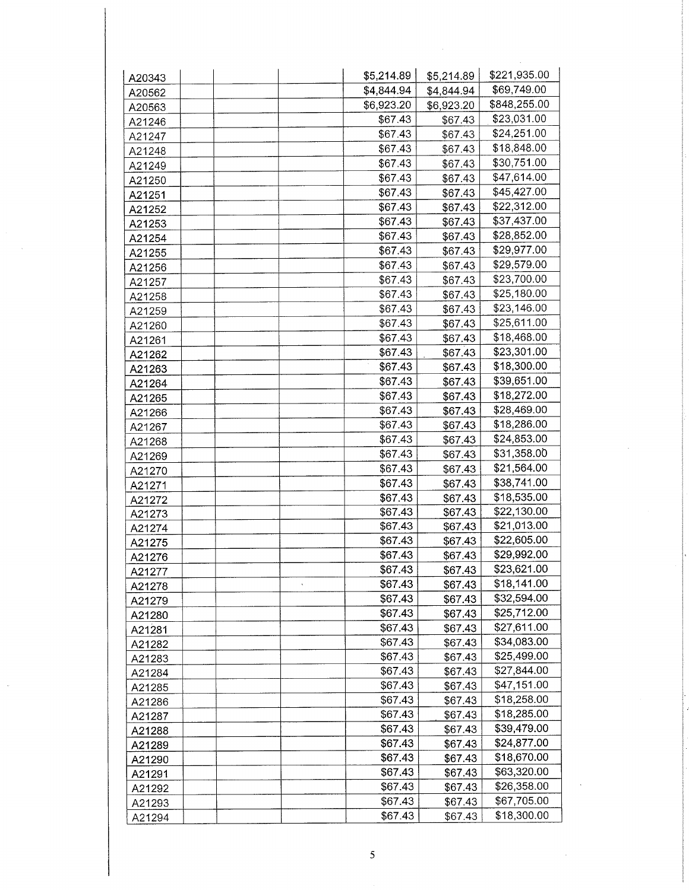| A20343 | \$5,214.89 | \$5,214.89         | \$221,935.00 |
|--------|------------|--------------------|--------------|
| A20562 | \$4,844.94 | \$4,844.94         | \$69,749.00  |
| A20563 | \$6,923.20 | \$6,923.20         | \$848,255.00 |
| A21246 | \$67.43    | \$67.43            | \$23,031.00  |
| A21247 | \$67.43    | \$67.43            | \$24,251.00  |
| A21248 | \$67.43    | \$67.43            | \$18,848.00  |
| A21249 | \$67.43    | \$67.43            | \$30,751.00  |
| A21250 | \$67.43    | \$67.43            | \$47,614.00  |
| A21251 | \$67.43    | \$67.43            | \$45,427.00  |
| A21252 | \$67.43    | \$67.43            | \$22,312.00  |
| A21253 | \$67.43    | \$67.43            | \$37,437.00  |
| A21254 | \$67.43    | \$67.43            | \$28,852.00  |
| A21255 | \$67.43    | \$67.43            | \$29,977.00  |
| A21256 | \$67.43    | \$67.43            | \$29,579.00  |
| A21257 | \$67.43    | \$67.43            | \$23,700.00  |
|        | \$67.43    | \$67.43            | \$25,180.00  |
| A21258 | \$67.43    | \$67.43            | \$23,146.00  |
| A21259 | \$67.43    | \$67.43            | \$25,611.00  |
| A21260 | \$67.43    | \$67.43            | \$18,468.00  |
| A21261 | \$67.43    | \$67.43            | \$23,301.00  |
| A21262 | \$67.43    | \$67.43            | \$18,300.00  |
| A21263 | \$67.43    |                    | \$39,651.00  |
| A21264 | \$67.43    | \$67.43<br>\$67.43 | \$18,272.00  |
| A21265 | \$67.43    |                    | \$28,469.00  |
| A21266 |            | \$67.43            | \$18,286.00  |
| A21267 | \$67.43    | \$67.43            |              |
| A21268 | \$67.43    | \$67.43            | \$24,853.00  |
| A21269 | \$67.43    | \$67.43            | \$31,358.00  |
| A21270 | \$67.43    | \$67.43            | \$21,564.00  |
| A21271 | \$67.43    | \$67.43            | \$38,741.00  |
| A21272 | \$67.43    | \$67.43            | \$18,535.00  |
| A21273 | \$67.43    | \$67.43            | \$22,130.00  |
| A21274 | \$67.43    | \$67.43            | \$21,013.00  |
| A21275 | \$67.43    | \$67.43            | \$22,605.00  |
| A21276 | \$67.43    | \$67.43            | \$29,992.00  |
| A21277 | \$67.43    | \$67.43            | \$23,621.00  |
| A21278 | \$67.43    | \$67.43            | \$18,141.00  |
| A21279 | \$67.43    | \$67.43            | \$32,594.00  |
| A21280 | \$67.43    | \$67.43            | \$25,712.00  |
| A21281 | \$67.43    | \$67.43            | \$27,611.00  |
| A21282 | \$67.43    | \$67.43            | \$34,083.00  |
| A21283 | \$67.43    | \$67.43            | \$25,499.00  |
| A21284 | \$67.43    | \$67.43            | \$27,844.00  |
| A21285 | \$67.43    | \$67.43            | \$47,151.00  |
| A21286 | \$67.43    | \$67.43            | \$18,258.00  |
| A21287 | \$67.43    | \$67.43            | \$18,285.00  |
| A21288 | \$67.43    | \$67.43            | \$39,479.00  |
| A21289 | \$67.43    | \$67.43            | \$24,877.00  |
| A21290 | \$67.43    | \$67.43            | \$18,670.00  |
| A21291 | \$67.43    | \$67.43            | \$63,320.00  |
| A21292 | \$67.43    | \$67.43            | \$26,358.00  |
| A21293 | \$67.43    | \$67.43            | \$67,705.00  |
| A21294 | \$67.43    | \$67.43            | \$18,300.00  |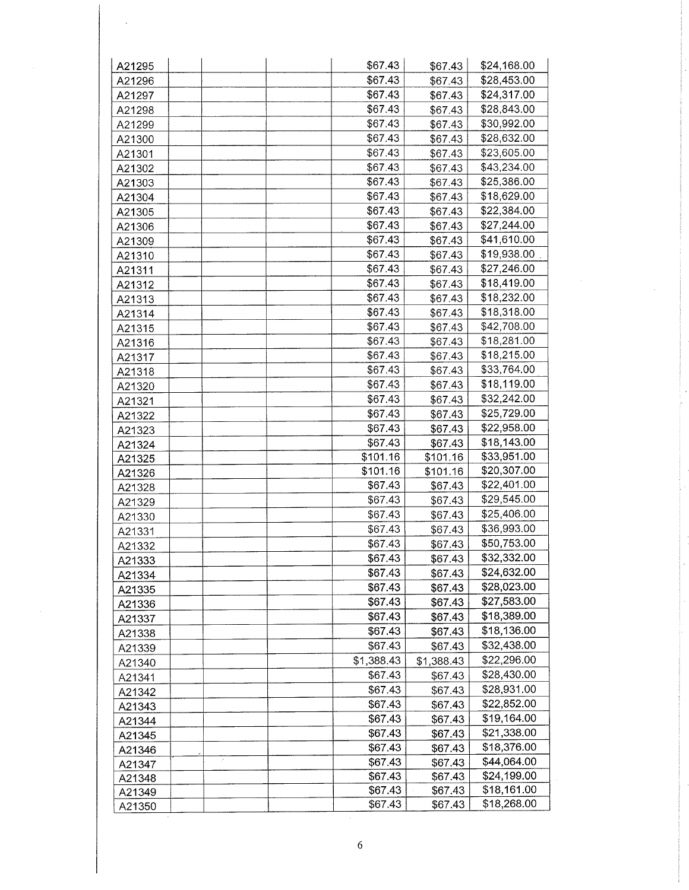| A21295                  | \$67.43<br>\$24,168.00<br>\$67.43       |
|-------------------------|-----------------------------------------|
| A21296                  | \$67.43<br>\$28,453.00<br>\$67.43       |
| A21297                  | \$67.43<br>\$24,317.00<br>\$67.43       |
| A21298                  | \$67.43<br>\$28,843.00<br>\$67.43       |
| A21299                  | \$67.43<br>\$30,992.00<br>\$67.43       |
| A21300                  | \$28,632.00<br>\$67.43<br>\$67.43       |
| A21301                  | \$67.43<br>\$23,605.00<br>\$67.43       |
| A21302                  | \$67.43<br>\$43,234.00<br>\$67.43       |
| A21303                  | \$25,386.00<br>\$67.43<br>\$67.43       |
| A21304                  | \$67.43<br>\$18,629.00<br>\$67.43       |
|                         | \$67.43<br>\$22,384.00<br>\$67.43       |
| A21305                  | \$67.43<br>\$27,244.00                  |
| A21306                  | \$67.43<br>\$41,610.00                  |
| A21309                  | \$67.43<br>\$67.43                      |
| A21310                  | \$19,938.00<br>\$67.43<br>\$67.43       |
| A21311                  | \$27,246.00<br>\$67.43<br>\$67.43       |
| A21312                  | \$67.43<br>\$18,419.00<br>\$67.43       |
| A21313                  | \$18,232.00<br>\$67.43<br>\$67.43       |
| A21314                  | \$18,318.00<br>\$67.43<br>\$67.43       |
| A21315                  | \$42,708.00<br>\$67.43<br>\$67.43       |
| A21316                  | \$18,281.00<br>\$67.43<br>\$67.43       |
| A21317                  | \$18,215.00<br>\$67.43<br>\$67.43       |
| A21318                  | \$33,764.00<br>\$67.43<br>\$67.43       |
| A21320                  | \$18,119.00<br>\$67.43<br>\$67.43       |
| A21321                  | \$32,242.00<br>\$67.43<br>\$67.43       |
| A21322                  | \$25,729.00<br>\$67.43<br>\$67.43       |
| A21323                  | \$67.43<br>\$22,958.00<br>\$67.43       |
| A21324                  | \$18,143.00<br>\$67.43<br>\$67.43       |
| A21325                  | \$33,951.00<br>\$101.16<br>\$101.16     |
| A21326                  | \$20,307.00<br>\$101.16<br>\$101.16     |
| A21328                  | \$22,401.00<br>\$67.43<br>\$67.43       |
| A21329                  | \$29,545.00<br>\$67.43<br>\$67.43       |
| A21330                  | \$25,406.00<br>\$67.43<br>\$67.43       |
| A21331                  | \$36,993.00<br>\$67.43<br>\$67.43       |
| A21332                  | \$50,753.00<br>\$67.43<br>\$67.43       |
| A21333                  | \$32,332.00<br>\$67.43<br>\$67.43       |
| A21334                  | \$24,632.00<br>\$67.43<br>\$67.43       |
| A21335                  | \$28,023.00<br>\$67.43<br>\$67.43       |
| A21336                  | \$27,583.00<br>\$67.43<br>\$67.43       |
| A21337                  | \$67.43<br>\$18,389.00<br>\$67.43       |
| A21338                  | \$18,136.00<br>\$67.43<br>\$67.43       |
| A21339                  | \$32,438.00<br>\$67.43<br>\$67.43       |
|                         | \$22,296.00<br>\$1,388.43<br>\$1,388.43 |
| A21340                  | \$28,430.00<br>\$67.43<br>\$67.43       |
| A21341                  | \$28,931.00<br>\$67.43<br>\$67.43       |
| A21342                  | \$22,852.00<br>\$67.43<br>\$67.43       |
| A21343                  | \$19,164.00<br>\$67.43                  |
| A21344                  | \$67.43<br>\$21,338.00                  |
| A21345                  | \$67.43<br>\$67.43<br>\$18,376.00       |
| A21346<br>$\mathcal{I}$ | \$67.43<br>\$67.43<br>\$44,064.00       |
| A21347                  | \$67.43<br>\$67.43<br>\$24,199.00       |
| A21348                  | \$67.43<br>\$67.43<br>\$18,161.00       |
| A21349                  | \$67.43<br>\$67.43<br>\$18,268.00       |
| A21350                  | \$67.43<br>\$67.43                      |

 $\sim$ 

 $\overline{6}$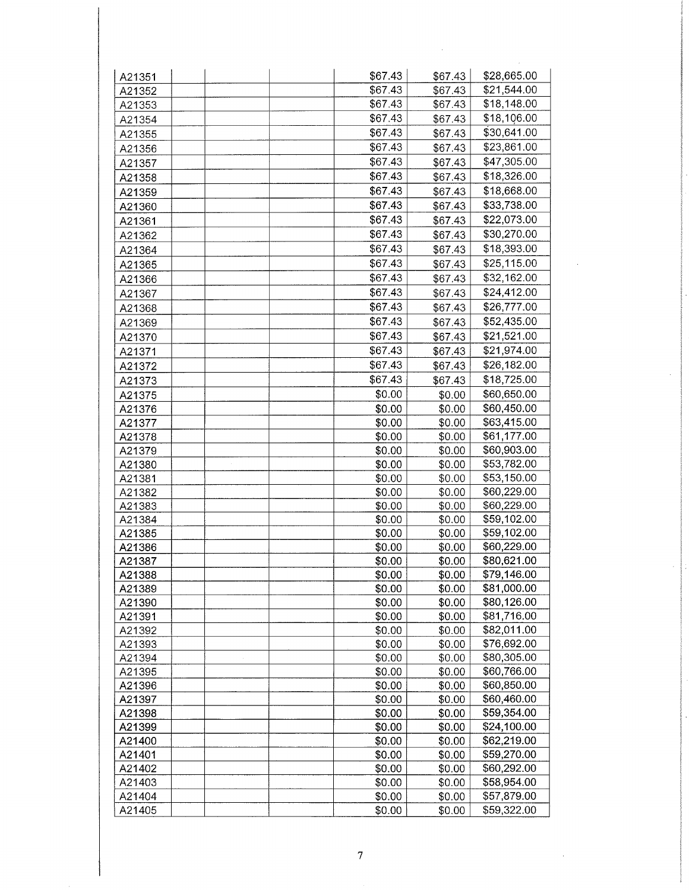| A21351 | \$67.43 | \$67.43 | \$28,665.00 |
|--------|---------|---------|-------------|
| A21352 | \$67.43 | \$67.43 | \$21,544.00 |
| A21353 | \$67.43 | \$67.43 | \$18,148.00 |
| A21354 | \$67.43 | \$67.43 | \$18,106.00 |
| A21355 | \$67.43 | \$67.43 | \$30,641.00 |
| A21356 | \$67.43 | \$67.43 | \$23,861.00 |
| A21357 | \$67.43 | \$67.43 | \$47,305.00 |
| A21358 | \$67.43 | \$67.43 | \$18,326.00 |
| A21359 | \$67.43 | \$67.43 | \$18,668.00 |
| A21360 | \$67.43 | \$67.43 | \$33,738.00 |
| A21361 | \$67.43 | \$67.43 | \$22,073.00 |
| A21362 | \$67.43 | \$67.43 | \$30,270.00 |
| A21364 | \$67.43 | \$67.43 | \$18,393.00 |
| A21365 | \$67.43 | \$67.43 | \$25,115.00 |
| A21366 | \$67.43 | \$67.43 | \$32,162.00 |
| A21367 | \$67.43 | \$67.43 | \$24,412.00 |
| A21368 | \$67.43 | \$67.43 | \$26,777.00 |
|        | \$67.43 | \$67.43 | \$52,435.00 |
| A21369 | \$67.43 |         | \$21,521.00 |
| A21370 | \$67.43 | \$67.43 | \$21,974.00 |
| A21371 |         | \$67.43 |             |
| A21372 | \$67.43 | \$67.43 | \$26,182.00 |
| A21373 | \$67.43 | \$67.43 | \$18,725.00 |
| A21375 | \$0.00  | \$0.00  | \$60,650.00 |
| A21376 | \$0.00  | \$0.00  | \$60,450.00 |
| A21377 | \$0.00  | \$0.00  | \$63,415.00 |
| A21378 | \$0.00  | \$0.00  | \$61,177.00 |
| A21379 | \$0.00  | \$0.00  | \$60,903.00 |
| A21380 | \$0.00  | \$0.00  | \$53,782.00 |
| A21381 | \$0.00  | \$0.00  | \$53,150.00 |
| A21382 | \$0.00  | \$0.00  | \$60,229.00 |
| A21383 | \$0.00  | \$0.00  | \$60,229.00 |
| A21384 | \$0.00  | \$0.00  | \$59,102.00 |
| A21385 | \$0.00  | \$0.00  | \$59,102.00 |
| A21386 | \$0.00  | \$0.00  | \$60,229.00 |
| A21387 | \$0.00  | \$0.00  | \$80,621.00 |
| A21388 | \$0.00  | \$0.00  | \$79,146.00 |
| A21389 | \$0.00  | \$0.00  | \$81,000.00 |
| A21390 | \$0.00  | \$0.00  | \$80,126.00 |
| A21391 | \$0.00  | \$0.00  | \$81,716.00 |
| A21392 | \$0.00  | \$0.00  | \$82,011.00 |
| A21393 | \$0.00  | \$0.00  | \$76,692.00 |
| A21394 | \$0.00  | \$0.00  | \$80,305.00 |
| A21395 | \$0.00  | \$0.00  | \$60,766.00 |
| A21396 | \$0.00  | \$0.00  | \$60,850.00 |
| A21397 | \$0.00  | \$0.00  | \$60,460.00 |
| A21398 | \$0.00  | \$0.00  | \$59,354.00 |
| A21399 | \$0.00  | \$0.00  | \$24,100.00 |
| A21400 | \$0.00  | \$0.00  | \$62,219.00 |
| A21401 | \$0.00  | \$0.00  | \$59,270.00 |
| A21402 | \$0.00  | \$0.00  | \$60,292.00 |
| A21403 | \$0.00  | \$0.00  | \$58,954.00 |
| A21404 | \$0.00  | \$0.00  | \$57,879.00 |
| A21405 | \$0.00  | \$0.00  | \$59,322.00 |

 $\sim$ 

 $\bar{\gamma}$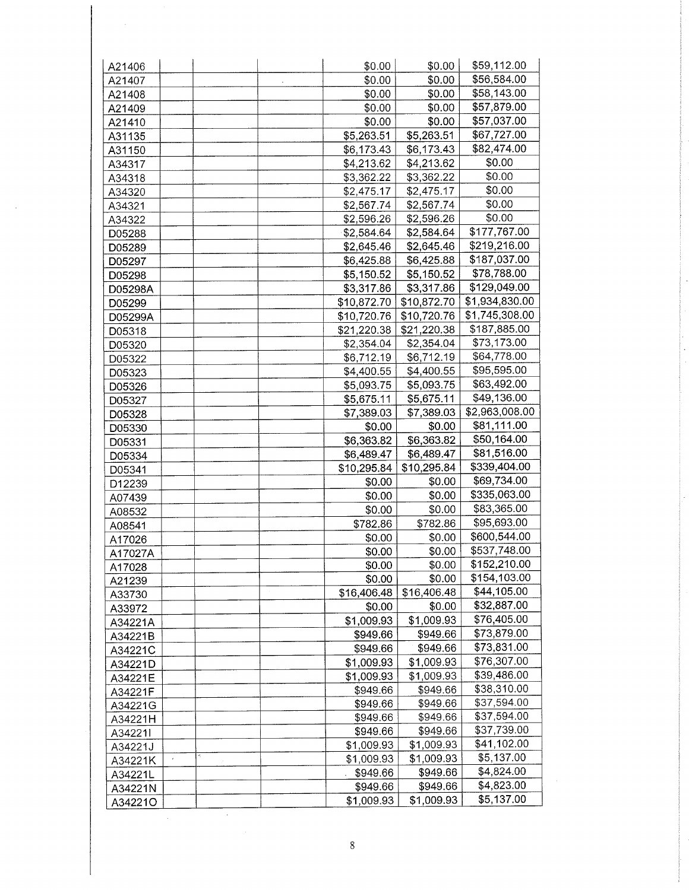| \$0.00<br>A21407       | \$0.00<br>\$0.00 | \$56,584.00    |
|------------------------|------------------|----------------|
|                        |                  |                |
| \$0.00<br>A21408       |                  | \$58,143.00    |
| \$0.00<br>A21409       | \$0.00           | \$57,879.00    |
| \$0.00<br>A21410       | \$0.00           | \$57,037.00    |
| \$5,263.51<br>A31135   | \$5,263.51       | \$67,727.00    |
| \$6,173.43<br>A31150   | \$6,173.43       | \$82,474.00    |
| \$4,213.62<br>A34317   | \$4,213.62       | \$0.00         |
| \$3,362.22<br>A34318   | \$3,362.22       | \$0.00         |
| \$2,475.17<br>A34320   | \$2,475.17       | \$0.00         |
| \$2,567.74<br>A34321   | \$2,567.74       | \$0.00         |
| \$2,596.26<br>A34322   | \$2,596.26       | \$0.00         |
| \$2,584.64<br>D05288   | \$2,584.64       | \$177,767.00   |
| \$2,645.46<br>D05289   | \$2,645.46       | \$219,216.00   |
| \$6,425.88<br>D05297   | \$6,425.88       | \$187,037.00   |
| \$5,150.52<br>D05298   | \$5,150.52       | \$78,788.00    |
| \$3,317.86<br>D05298A  | \$3,317.86       | \$129,049.00   |
| \$10,872.70<br>D05299  | \$10,872.70      | \$1,934,830.00 |
| \$10,720.76<br>D05299A | \$10,720.76      | \$1,745,308.00 |
| \$21,220.38<br>D05318  | \$21,220.38      | \$187,885.00   |
| \$2,354.04<br>D05320   | \$2,354.04       | \$73,173.00    |
| \$6,712.19<br>D05322   | \$6,712.19       | \$64,778.00    |
| \$4,400.55<br>D05323   | \$4,400.55       | \$95,595.00    |
| \$5,093.75<br>D05326   | \$5,093.75       | \$63,492.00    |
| \$5,675.11<br>D05327   | \$5,675.11       | \$49,136.00    |
| \$7,389.03<br>D05328   | \$7,389.03       | \$2,963,008.00 |
| \$0.00<br>D05330       | \$0.00           | \$81,111.00    |
| \$6,363.82<br>D05331   | \$6,363.82       | \$50,164.00    |
| \$6,489.47<br>D05334   | \$6,489.47       | \$81,516.00    |
| \$10,295.84<br>D05341  | \$10,295.84      | \$339,404.00   |
| \$0.00<br>D12239       | \$0.00           | \$69,734.00    |
| \$0.00<br>A07439       | \$0.00           | \$335,063.00   |
| \$0.00<br>A08532       | \$0.00           | \$83,365.00    |
| \$782.86<br>A08541     | \$782.86         | \$95,693.00    |
| \$0.00<br>A17026       | \$0.00           | \$600,544.00   |
| \$0.00<br>A17027A      | \$0.00           | \$537,748.00   |
| \$0.00<br>A17028       | \$0.00           | \$152,210.00   |
| \$0.00<br>A21239       | \$0.00           | \$154,103.00   |
| \$16,406.48<br>A33730  | \$16,406.48      | \$44,105.00    |
| \$0.00<br>A33972       | \$0.00           | \$32,887.00    |
| \$1,009.93<br>A34221A  | \$1,009.93       | \$76,405.00    |
| \$949.66<br>A34221B    | \$949.66         | \$73,879.00    |
| \$949.66<br>A34221C    | \$949.66         | \$73,831.00    |
| \$1,009.93<br>A34221D  | \$1,009.93       | \$76,307.00    |
| \$1,009.93<br>A34221E  | \$1,009.93       | \$39,486.00    |
| \$949.66<br>A34221F    | \$949.66         | \$38,310.00    |
| \$949.66<br>A34221G    | \$949.66         | \$37,594.00    |
| \$949.66<br>A34221H    | \$949.66         | \$37,594.00    |
| \$949.66<br>A34221I    | \$949.66         | \$37,739.00    |
| \$1,009.93<br>A34221J  | \$1,009.93       | \$41,102.00    |
| \$1,009.93<br>A34221K  | \$1,009.93       | \$5,137.00     |
| \$949.66<br>A34221L    | \$949.66         | \$4,824.00     |
| \$949.66<br>A34221N    | \$949.66         | \$4,823.00     |
| \$1,009.93<br>A34221O  | \$1,009.93       | \$5,137.00     |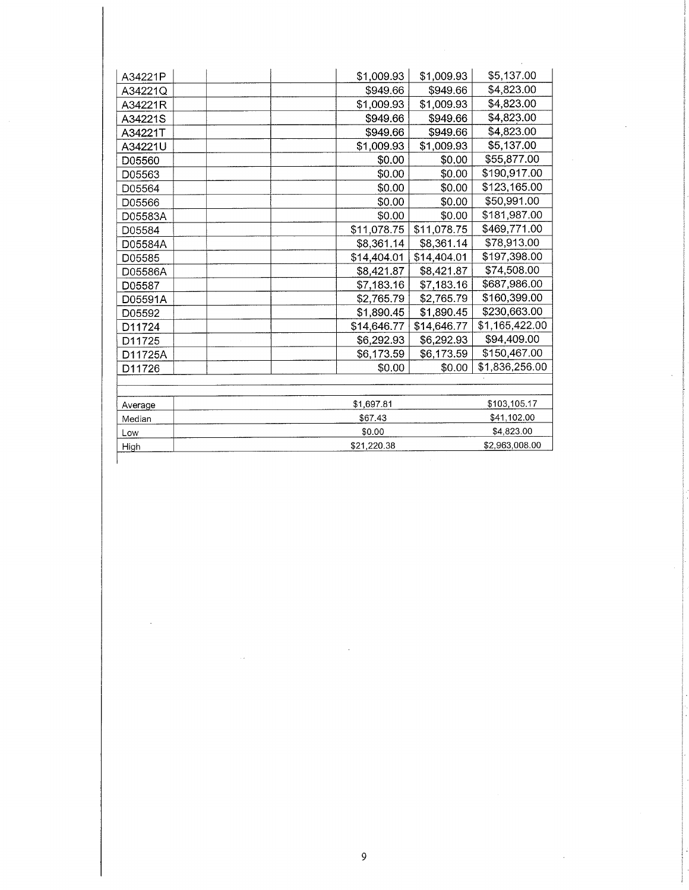| A34221P | \$1,009.93  | \$1,009.93  | \$5,137.00     |
|---------|-------------|-------------|----------------|
| A34221Q | \$949.66    | \$949.66    | \$4,823.00     |
| A34221R | \$1,009.93  | \$1,009.93  | \$4,823.00     |
| A34221S | \$949.66    | \$949.66    | \$4,823.00     |
| A34221T | \$949.66    | \$949.66    | \$4,823.00     |
| A34221U | \$1,009.93  | \$1,009.93  | \$5,137.00     |
| D05560  | \$0.00      | \$0.00      | \$55,877.00    |
| D05563  | \$0.00      | \$0.00      | \$190,917.00   |
| D05564  | \$0.00      | \$0.00      | \$123,165.00   |
| D05566  | \$0.00      | \$0.00      | \$50,991.00    |
| D05583A | \$0.00      | \$0.00      | \$181,987.00   |
| D05584  | \$11,078.75 | \$11,078.75 | \$469,771.00   |
| D05584A | \$8,361.14  | \$8,361.14  | \$78,913.00    |
| D05585  | \$14,404.01 | \$14,404.01 | \$197,398.00   |
| D05586A | \$8,421.87  | \$8,421.87  | \$74,508.00    |
| D05587  | \$7,183.16  | \$7,183.16  | \$687,986.00   |
| D05591A | \$2,765.79  | \$2,765.79  | \$160,399.00   |
| D05592  | \$1,890.45  | \$1,890.45  | \$230,663.00   |
| D11724  | \$14,646.77 | \$14,646.77 | \$1,165,422.00 |
| D11725  | \$6,292.93  | \$6,292.93  | \$94,409.00    |
| D11725A | \$6,173.59  | \$6,173.59  | \$150,467.00   |
| D11726  | \$0.00      | \$0.00      | \$1,836,256.00 |
|         |             |             |                |
| Average | \$1,697.81  |             | \$103,105.17   |
| Median  | \$67.43     |             | \$41,102.00    |
| Low     | \$0.00      |             | \$4,823.00     |
| High    | \$21.220.38 |             | \$2,963,008.00 |